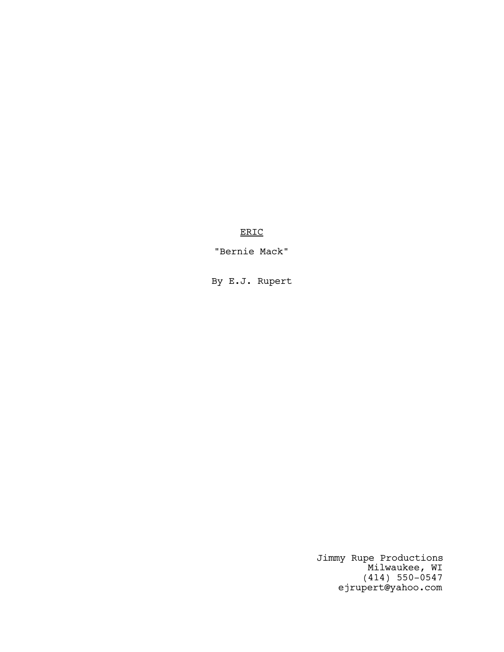ERIC

"Bernie Mack"

By E.J. Rupert

Jimmy Rupe Productions Milwaukee, WI (414) 550-0547 ejrupert@yahoo.com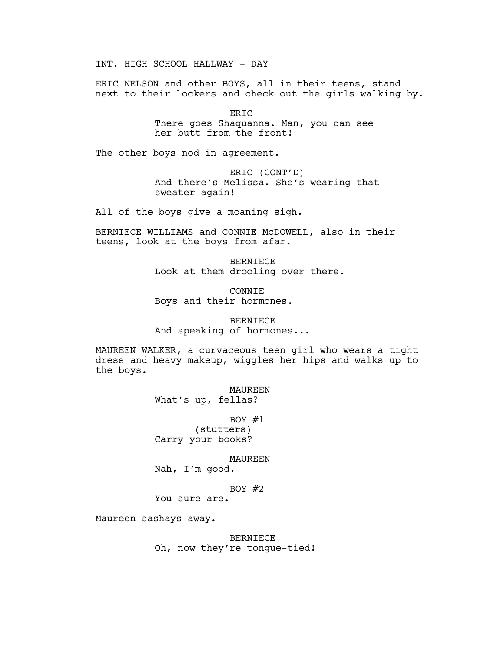INT. HIGH SCHOOL HALLWAY - DAY

ERIC NELSON and other BOYS, all in their teens, stand next to their lockers and check out the girls walking by.

> ERIC There goes Shaquanna. Man, you can see her butt from the front!

The other boys nod in agreement.

ERIC (CONT'D) And there's Melissa. She's wearing that sweater again!

All of the boys give a moaning sigh.

BERNIECE WILLIAMS and CONNIE McDOWELL, also in their teens, look at the boys from afar.

> BERNIECE Look at them drooling over there.

CONNIE Boys and their hormones.

BERNIECE And speaking of hormones...

MAUREEN WALKER, a curvaceous teen girl who wears a tight dress and heavy makeup, wiggles her hips and walks up to the boys.

> MAUREEN What's up, fellas?

BOY  $#1$ (stutters) Carry your books?

#### MAUREEN

Nah, I'm good.

# BOY  $#2$

You sure are.

Maureen sashays away.

BERNIECE Oh, now they're tongue-tied!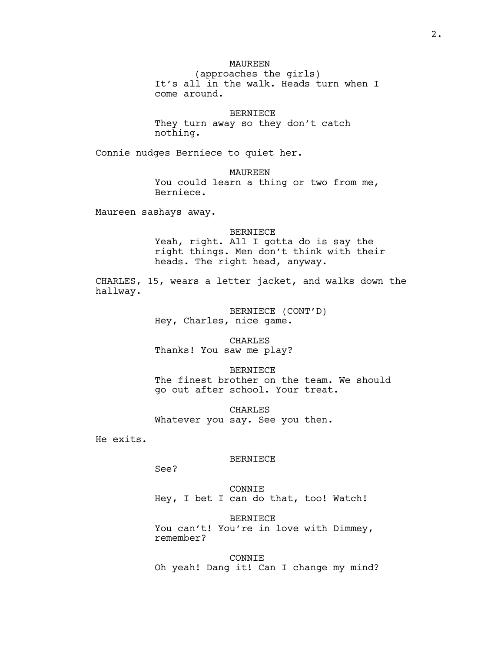# MAUREEN

(approaches the girls) It's all in the walk. Heads turn when I come around.

## BERNIECE

They turn away so they don't catch nothing.

Connie nudges Berniece to quiet her.

MAUREEN You could learn a thing or two from me, Berniece.

Maureen sashays away.

BERNIECE Yeah, right. All I gotta do is say the right things. Men don't think with their heads. The right head, anyway.

CHARLES, 15, wears a letter jacket, and walks down the hallway.

> BERNIECE (CONT'D) Hey, Charles, nice game.

CHARLES Thanks! You saw me play?

BERNIECE The finest brother on the team. We should go out after school. Your treat.

CHARLES Whatever you say. See you then.

He exits.

### BERNIECE

See?

CONNIE Hey, I bet I can do that, too! Watch!

BERNIECE You can't! You're in love with Dimmey, remember?

CONNIE Oh yeah! Dang it! Can I change my mind?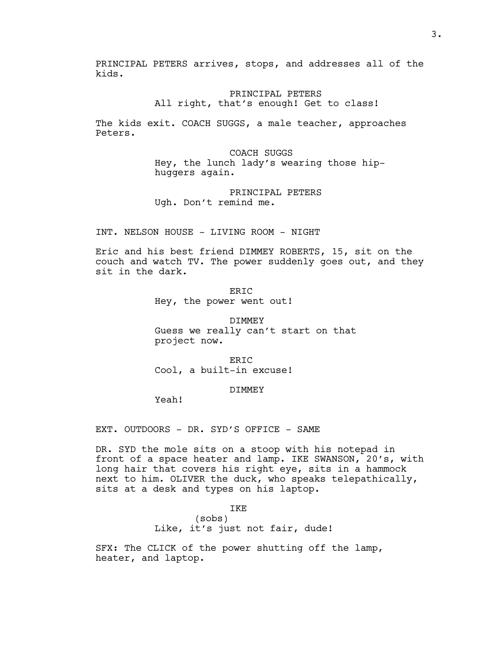PRINCIPAL PETERS arrives, stops, and addresses all of the kids.

> PRINCIPAL PETERS All right, that's enough! Get to class!

The kids exit. COACH SUGGS, a male teacher, approaches Peters.

> COACH SUGGS Hey, the lunch lady's wearing those hiphuggers again.

PRINCIPAL PETERS Ugh. Don't remind me.

INT. NELSON HOUSE - LIVING ROOM - NIGHT

Eric and his best friend DIMMEY ROBERTS, 15, sit on the couch and watch TV. The power suddenly goes out, and they sit in the dark.

> ERIC Hey, the power went out!

DIMMEY Guess we really can't start on that project now.

ERIC Cool, a built-in excuse!

DIMMEY

Yeah!

EXT. OUTDOORS - DR. SYD'S OFFICE - SAME

DR. SYD the mole sits on a stoop with his notepad in front of a space heater and lamp. IKE SWANSON, 20's, with long hair that covers his right eye, sits in a hammock next to him. OLIVER the duck, who speaks telepathically, sits at a desk and types on his laptop.

> IKE (sobs) Like, it's just not fair, dude!

SFX: The CLICK of the power shutting off the lamp, heater, and laptop.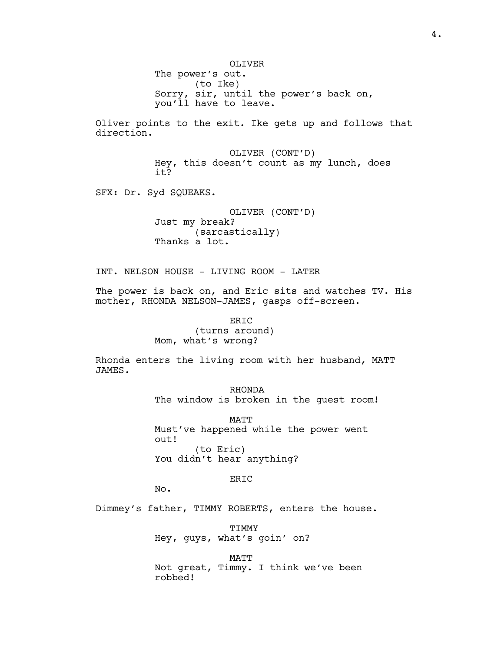OLIVER The power's out. (to Ike) Sorry, sir, until the power's back on, you'll have to leave.

Oliver points to the exit. Ike gets up and follows that direction.

> OLIVER (CONT'D) Hey, this doesn't count as my lunch, does it?

SFX: Dr. Syd SQUEAKS.

OLIVER (CONT'D) Just my break? (sarcastically) Thanks a lot.

INT. NELSON HOUSE - LIVING ROOM - LATER

The power is back on, and Eric sits and watches TV. His mother, RHONDA NELSON-JAMES, gasps off-screen.

> ERIC (turns around) Mom, what's wrong?

Rhonda enters the living room with her husband, MATT JAMES.

> RHONDA The window is broken in the guest room!

MATT Must've happened while the power went out! (to Eric) You didn't hear anything?

ER<sub>TC</sub>

No.

Dimmey's father, TIMMY ROBERTS, enters the house.

TIMMY Hey, guys, what's goin' on?

MATT Not great, Timmy. I think we've been robbed!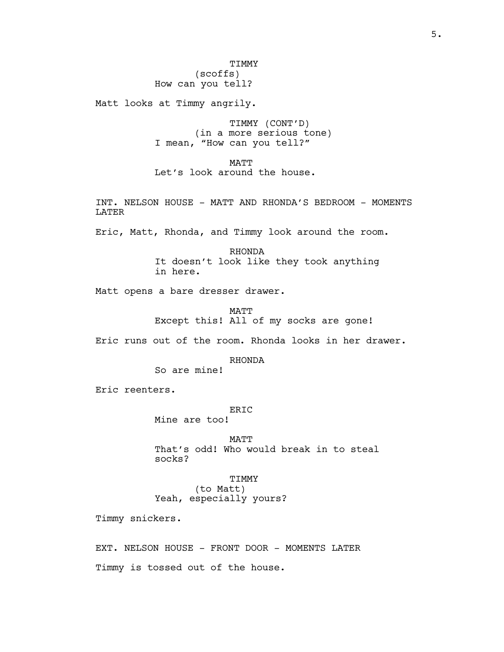# (scoffs) How can you tell?

Matt looks at Timmy angrily.

TIMMY (CONT'D) (in a more serious tone) I mean, "How can you tell?"

MATT Let's look around the house.

INT. NELSON HOUSE - MATT AND RHONDA'S BEDROOM - MOMENTS LATER

Eric, Matt, Rhonda, and Timmy look around the room.

RHONDA It doesn't look like they took anything in here.

Matt opens a bare dresser drawer.

MATT Except this! All of my socks are gone!

Eric runs out of the room. Rhonda looks in her drawer.

RHONDA

So are mine!

Eric reenters.

# ER<sub>IC</sub>

Mine are too!

MATT That's odd! Who would break in to steal socks?

# TIMMY

(to Matt) Yeah, especially yours?

Timmy snickers.

EXT. NELSON HOUSE - FRONT DOOR - MOMENTS LATER Timmy is tossed out of the house.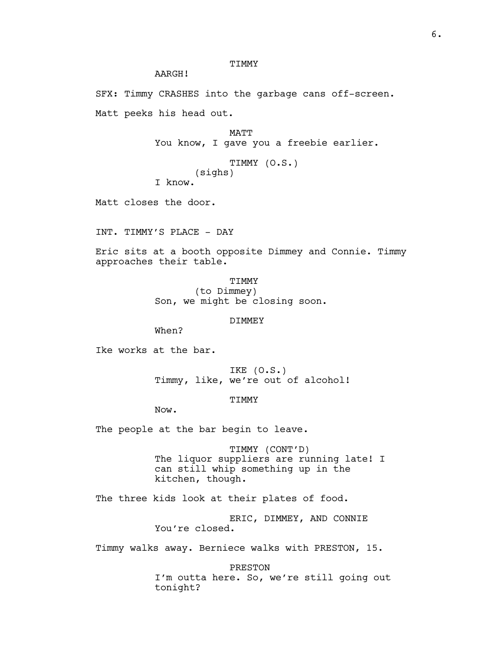# TIMMY

AARGH!

SFX: Timmy CRASHES into the garbage cans off-screen.

Matt peeks his head out.

MATT You know, I gave you a freebie earlier.

TIMMY (O.S.) (sighs) I know.

Matt closes the door.

INT. TIMMY'S PLACE - DAY

Eric sits at a booth opposite Dimmey and Connie. Timmy approaches their table.

> TIMMY (to Dimmey) Son, we might be closing soon.

> > DIMMEY

When?

Ike works at the bar.

IKE (O.S.) Timmy, like, we're out of alcohol!

TIMMY

Now.

The people at the bar begin to leave.

TIMMY (CONT'D) The liquor suppliers are running late! I can still whip something up in the kitchen, though.

The three kids look at their plates of food.

ERIC, DIMMEY, AND CONNIE You're closed.

Timmy walks away. Berniece walks with PRESTON, 15.

PRESTON I'm outta here. So, we're still going out tonight?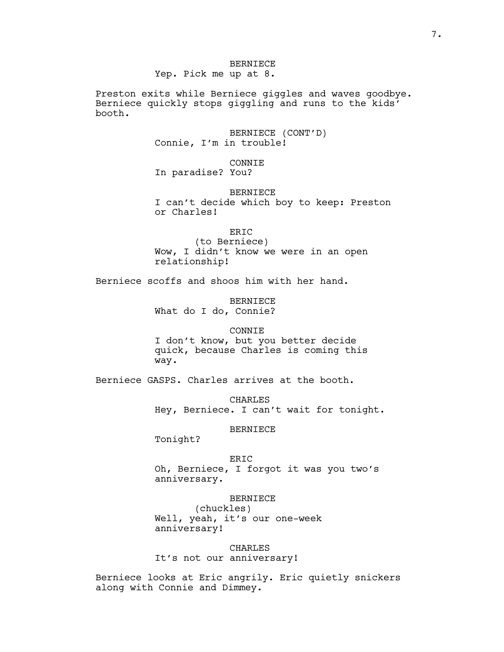# BERNIECE

Yep. Pick me up at 8.

Preston exits while Berniece giggles and waves goodbye. Berniece quickly stops giggling and runs to the kids' booth.

> BERNIECE (CONT'D) Connie, I'm in trouble!

CONNIE In paradise? You?

BERNIECE I can't decide which boy to keep: Preston or Charles!

ERIC (to Berniece) Wow, I didn't know we were in an open relationship!

Berniece scoffs and shoos him with her hand.

BERNIECE What do I do, Connie?

CONNIE

I don't know, but you better decide quick, because Charles is coming this way.

Berniece GASPS. Charles arrives at the booth.

CHARLES Hey, Berniece. I can't wait for tonight.

BERNIECE

Tonight?

ERIC

Oh, Berniece, I forgot it was you two's anniversary.

BERNIECE

(chuckles) Well, yeah, it's our one-week anniversary!

CHARLES It's not our anniversary!

Berniece looks at Eric angrily. Eric quietly snickers along with Connie and Dimmey.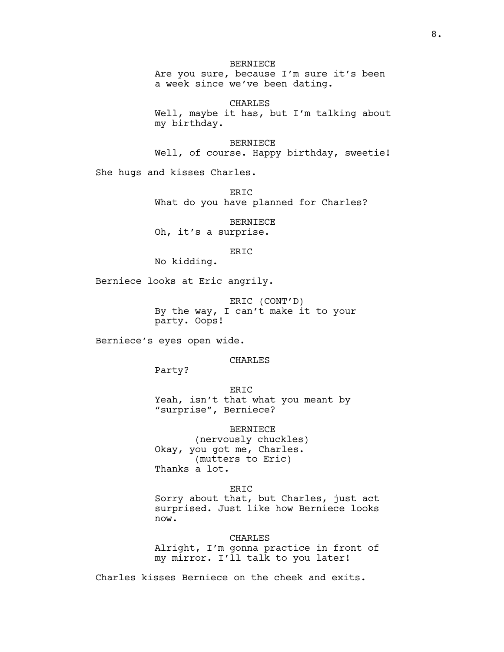# BERNIECE

Are you sure, because I'm sure it's been a week since we've been dating.

CHARLES Well, maybe it has, but I'm talking about my birthday.

BERNIECE

Well, of course. Happy birthday, sweetie!

She hugs and kisses Charles.

ER<sub>TC</sub> What do you have planned for Charles?

BERNIECE Oh, it's a surprise.

# ERIC

No kidding.

Berniece looks at Eric angrily.

ERIC (CONT'D) By the way, I can't make it to your party. Oops!

Berniece's eyes open wide.

CHARLES

Party?

ERIC Yeah, isn't that what you meant by "surprise", Berniece?

BERNIECE (nervously chuckles) Okay, you got me, Charles. (mutters to Eric) Thanks a lot.

# ERIC

Sorry about that, but Charles, just act surprised. Just like how Berniece looks now.

CHARLES Alright, I'm gonna practice in front of my mirror. I'll talk to you later!

Charles kisses Berniece on the cheek and exits.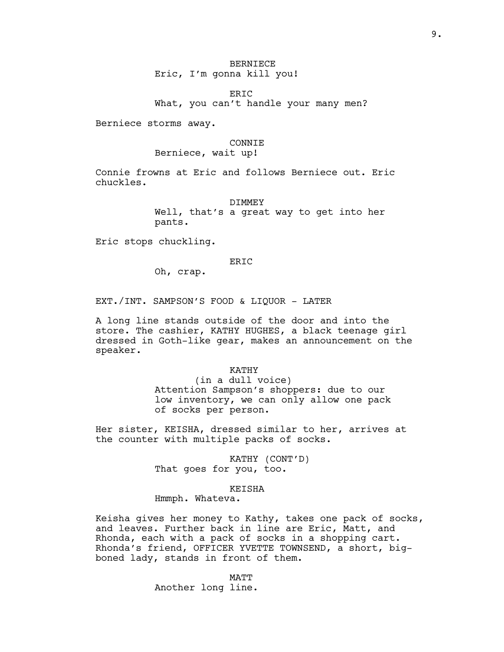# BERNIECE Eric, I'm gonna kill you!

ERIC What, you can't handle your many men?

Berniece storms away.

### CONNIE

# Berniece, wait up!

Connie frowns at Eric and follows Berniece out. Eric chuckles.

#### DIMMEY

Well, that's a great way to get into her pants.

Eric stops chuckling.

#### ER<sub>TC</sub>

Oh, crap.

EXT./INT. SAMPSON'S FOOD & LIQUOR - LATER

A long line stands outside of the door and into the store. The cashier, KATHY HUGHES, a black teenage girl dressed in Goth-like gear, makes an announcement on the speaker.

> KATHY (in a dull voice) Attention Sampson's shoppers: due to our low inventory, we can only allow one pack of socks per person.

Her sister, KEISHA, dressed similar to her, arrives at the counter with multiple packs of socks.

> KATHY (CONT'D) That goes for you, too.

#### KEISHA

Hmmph. Whateva.

Keisha gives her money to Kathy, takes one pack of socks, and leaves. Further back in line are Eric, Matt, and Rhonda, each with a pack of socks in a shopping cart. Rhonda's friend, OFFICER YVETTE TOWNSEND, a short, bigboned lady, stands in front of them.

MATT

Another long line.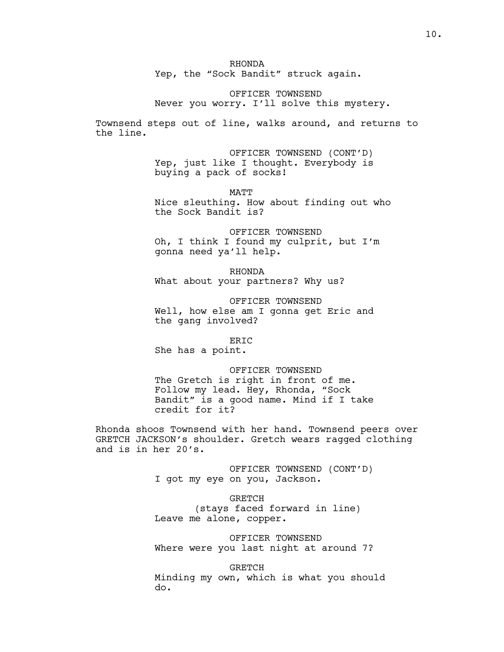RHONDA

Yep, the "Sock Bandit" struck again.

OFFICER TOWNSEND Never you worry. I'll solve this mystery.

Townsend steps out of line, walks around, and returns to the line.

> OFFICER TOWNSEND (CONT'D) Yep, just like I thought. Everybody is buying a pack of socks!

**MATT** Nice sleuthing. How about finding out who the Sock Bandit is?

OFFICER TOWNSEND Oh, I think I found my culprit, but I'm gonna need ya'll help.

RHONDA What about your partners? Why us?

OFFICER TOWNSEND Well, how else am I gonna get Eric and the gang involved?

ERIC

She has a point.

OFFICER TOWNSEND The Gretch is right in front of me. Follow my lead. Hey, Rhonda, "Sock Bandit" is a good name. Mind if I take credit for it?

Rhonda shoos Townsend with her hand. Townsend peers over GRETCH JACKSON's shoulder. Gretch wears ragged clothing and is in her 20's.

> OFFICER TOWNSEND (CONT'D) I got my eye on you, Jackson.

GRETCH (stays faced forward in line) Leave me alone, copper.

OFFICER TOWNSEND Where were you last night at around 7?

**GRETCH** Minding my own, which is what you should do.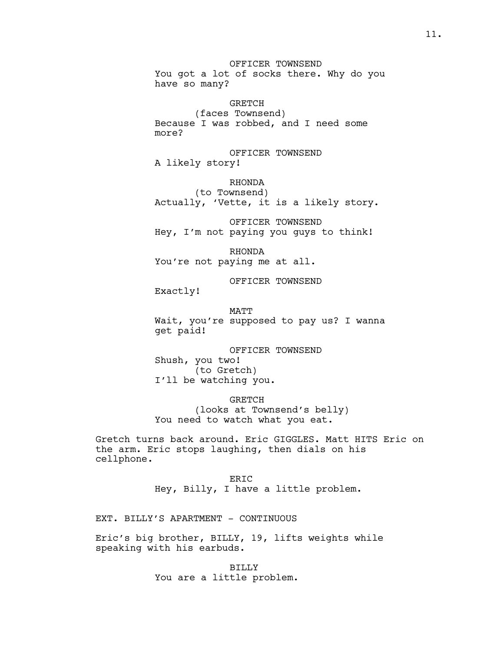OFFICER TOWNSEND You got a lot of socks there. Why do you have so many?

GRETCH (faces Townsend) Because I was robbed, and I need some more?

OFFICER TOWNSEND A likely story!

RHONDA (to Townsend) Actually, 'Vette, it is a likely story.

OFFICER TOWNSEND Hey, I'm not paying you guys to think!

RHONDA You're not paying me at all.

OFFICER TOWNSEND

Exactly!

MATT Wait, you're supposed to pay us? I wanna get paid!

OFFICER TOWNSEND Shush, you two! (to Gretch) I'll be watching you.

GRETCH (looks at Townsend's belly) You need to watch what you eat.

Gretch turns back around. Eric GIGGLES. Matt HITS Eric on the arm. Eric stops laughing, then dials on his cellphone.

> ER<sub>IC</sub> Hey, Billy, I have a little problem.

EXT. BILLY'S APARTMENT - CONTINUOUS

Eric's big brother, BILLY, 19, lifts weights while speaking with his earbuds.

> BILLY You are a little problem.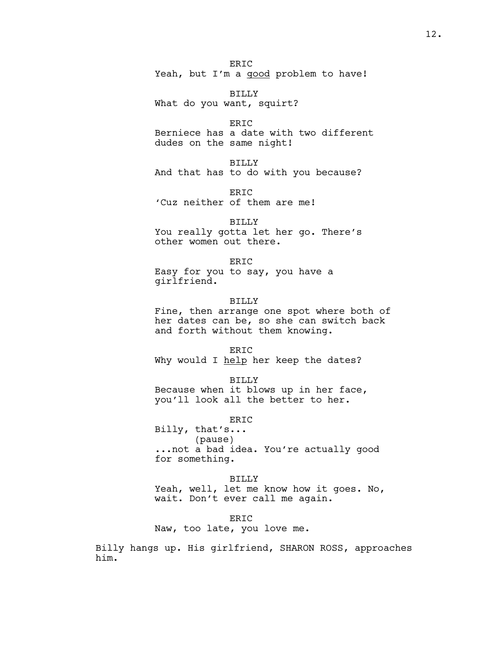ER<sub>IC</sub> Yeah, but I'm a good problem to have!

BILLY What do you want, squirt?

ERIC Berniece has a date with two different dudes on the same night!

BILLY And that has to do with you because?

ER<sub>TC</sub> 'Cuz neither of them are me!

BILLY

You really gotta let her go. There's other women out there.

ER<sub>IC</sub> Easy for you to say, you have a girlfriend.

BILLY Fine, then arrange one spot where both of her dates can be, so she can switch back and forth without them knowing.

ERIC Why would I help her keep the dates?

BILLY Because when it blows up in her face, you'll look all the better to her.

ERIC Billy, that's... (pause) ...not a bad idea. You're actually good for something.

BILLY Yeah, well, let me know how it goes. No, wait. Don't ever call me again.

ER<sub>TC</sub> Naw, too late, you love me.

Billy hangs up. His girlfriend, SHARON ROSS, approaches him.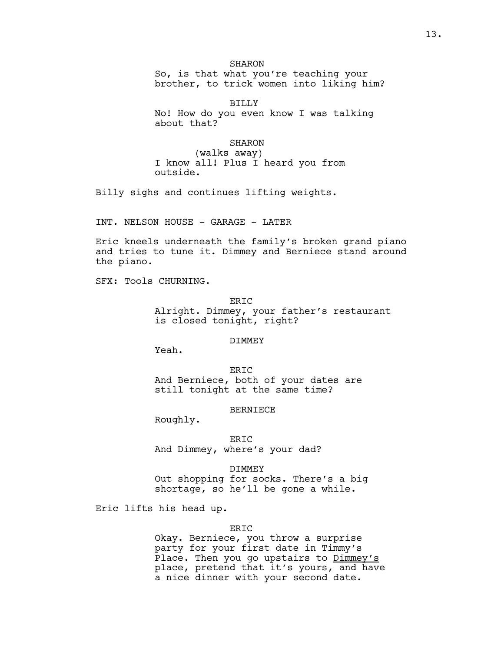# **SHARON**

So, is that what you're teaching your brother, to trick women into liking him?

BILLY No! How do you even know I was talking about that?

# SHARON

(walks away) I know all! Plus I heard you from outside.

Billy sighs and continues lifting weights.

INT. NELSON HOUSE - GARAGE - LATER

Eric kneels underneath the family's broken grand piano and tries to tune it. Dimmey and Berniece stand around the piano.

SFX: Tools CHURNING.

ER<sub>IC</sub>

Alright. Dimmey, your father's restaurant is closed tonight, right?

### DIMMEY

Yeah.

ERIC And Berniece, both of your dates are still tonight at the same time?

### BERNIECE

Roughly.

ERIC

And Dimmey, where's your dad?

#### DIMMEY

Out shopping for socks. There's a big shortage, so he'll be gone a while.

Eric lifts his head up.

#### ERIC

Okay. Berniece, you throw a surprise party for your first date in Timmy's Place. Then you go upstairs to Dimmey's place, pretend that it's yours, and have a nice dinner with your second date.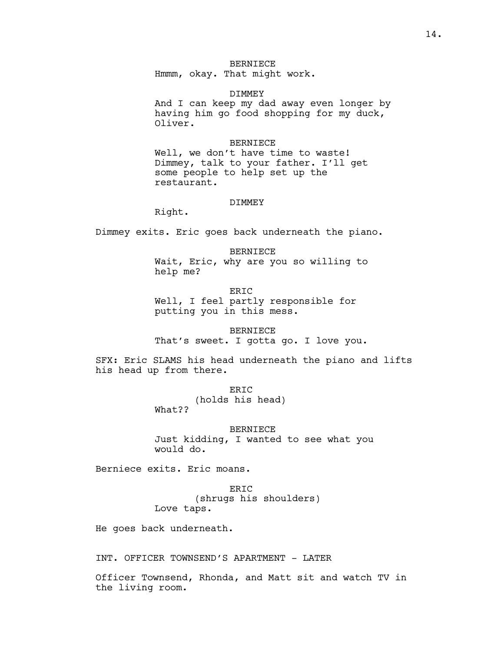# BERNIECE

Hmmm, okay. That might work.

#### DIMMEY

And I can keep my dad away even longer by having him go food shopping for my duck, Oliver.

### BERNIECE

Well, we don't have time to waste! Dimmey, talk to your father. I'll get some people to help set up the restaurant.

#### DIMMEY

Right.

Dimmey exits. Eric goes back underneath the piano.

BERNIECE Wait, Eric, why are you so willing to help me?

ERIC Well, I feel partly responsible for putting you in this mess.

BERNIECE

That's sweet. I gotta go. I love you.

SFX: Eric SLAMS his head underneath the piano and lifts his head up from there.

> ERIC (holds his head)

What??

BERNIECE Just kidding, I wanted to see what you would do.

Berniece exits. Eric moans.

ERIC (shrugs his shoulders) Love taps.

He goes back underneath.

INT. OFFICER TOWNSEND'S APARTMENT - LATER

Officer Townsend, Rhonda, and Matt sit and watch TV in the living room.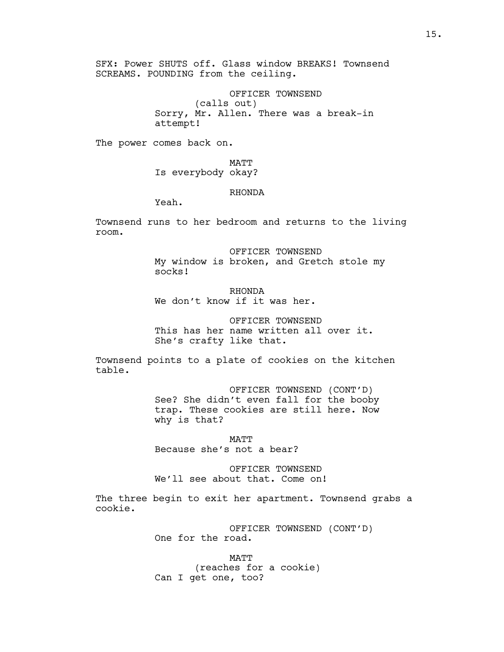SFX: Power SHUTS off. Glass window BREAKS! Townsend SCREAMS. POUNDING from the ceiling.

> OFFICER TOWNSEND (calls out) Sorry, Mr. Allen. There was a break-in attempt!

The power comes back on.

MATT Is everybody okay?

# RHONDA

Yeah.

Townsend runs to her bedroom and returns to the living room.

> OFFICER TOWNSEND My window is broken, and Gretch stole my socks!

RHONDA We don't know if it was her.

OFFICER TOWNSEND This has her name written all over it. She's crafty like that.

Townsend points to a plate of cookies on the kitchen table.

> OFFICER TOWNSEND (CONT'D) See? She didn't even fall for the booby trap. These cookies are still here. Now why is that?

MATT Because she's not a bear?

OFFICER TOWNSEND We'll see about that. Come on!

The three begin to exit her apartment. Townsend grabs a cookie.

> OFFICER TOWNSEND (CONT'D) One for the road.

MATT (reaches for a cookie) Can I get one, too?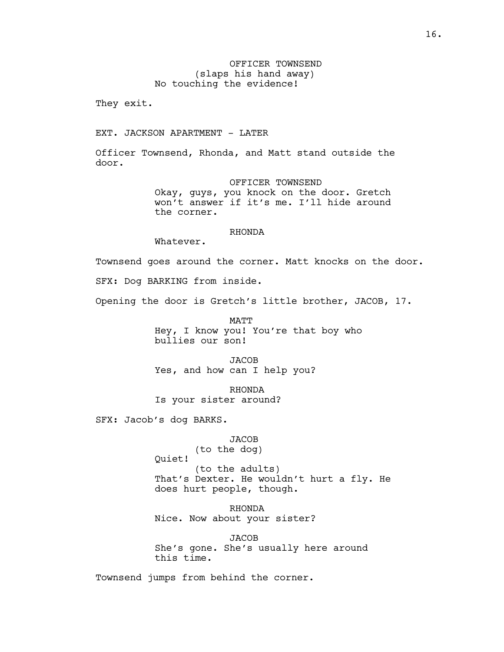OFFICER TOWNSEND (slaps his hand away) No touching the evidence!

They exit.

EXT. JACKSON APARTMENT - LATER

Officer Townsend, Rhonda, and Matt stand outside the door.

> OFFICER TOWNSEND Okay, guys, you knock on the door. Gretch won't answer if it's me. I'll hide around the corner.

# RHONDA

Whatever.

Townsend goes around the corner. Matt knocks on the door.

SFX: Dog BARKING from inside.

Opening the door is Gretch's little brother, JACOB, 17.

MATT Hey, I know you! You're that boy who bullies our son!

**JACOB** Yes, and how can I help you?

RHONDA Is your sister around?

SFX: Jacob's dog BARKS.

**JACOB** 

(to the dog) Quiet!

(to the adults) That's Dexter. He wouldn't hurt a fly. He does hurt people, though.

RHONDA Nice. Now about your sister?

JACOB She's gone. She's usually here around this time.

Townsend jumps from behind the corner.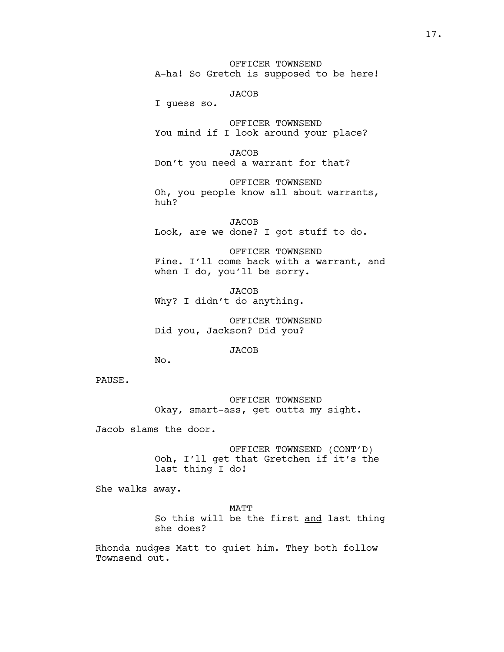OFFICER TOWNSEND A-ha! So Gretch is supposed to be here!

**JACOB** 

I guess so.

OFFICER TOWNSEND You mind if I look around your place?

**JACOB** Don't you need a warrant for that?

OFFICER TOWNSEND Oh, you people know all about warrants, huh?

**JACOB** Look, are we done? I got stuff to do.

OFFICER TOWNSEND Fine. I'll come back with a warrant, and when I do, you'll be sorry.

JACOB Why? I didn't do anything.

OFFICER TOWNSEND Did you, Jackson? Did you?

**JACOB** 

No.

PAUSE.

OFFICER TOWNSEND Okay, smart-ass, get outta my sight.

Jacob slams the door.

OFFICER TOWNSEND (CONT'D) Ooh, I'll get that Gretchen if it's the last thing I do!

She walks away.

MATT So this will be the first and last thing she does?

Rhonda nudges Matt to quiet him. They both follow Townsend out.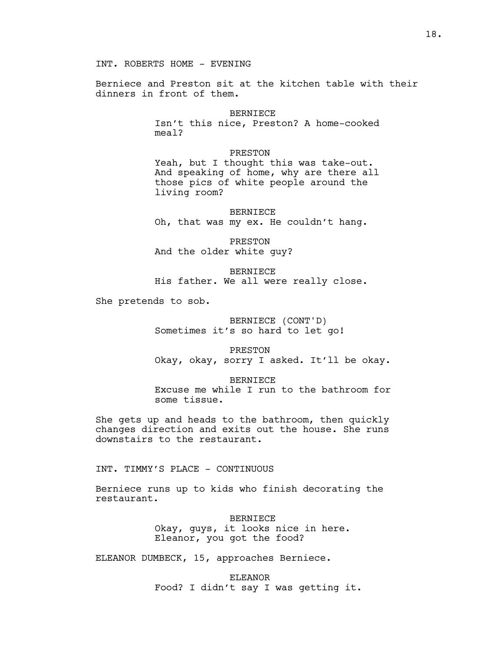Berniece and Preston sit at the kitchen table with their dinners in front of them.

> BERNIECE Isn't this nice, Preston? A home-cooked meal?

> PRESTON Yeah, but I thought this was take-out. And speaking of home, why are there all those pics of white people around the living room?

BERNIECE Oh, that was my ex. He couldn't hang.

PRESTON And the older white guy?

BERNIECE His father. We all were really close.

She pretends to sob.

BERNIECE (CONT'D) Sometimes it's so hard to let go!

PRESTON Okay, okay, sorry I asked. It'll be okay.

BERNIECE

Excuse me while I run to the bathroom for some tissue.

She gets up and heads to the bathroom, then quickly changes direction and exits out the house. She runs downstairs to the restaurant.

INT. TIMMY'S PLACE - CONTINUOUS

Berniece runs up to kids who finish decorating the restaurant.

> BERNIECE Okay, guys, it looks nice in here. Eleanor, you got the food?

ELEANOR DUMBECK, 15, approaches Berniece.

ELEANOR Food? I didn't say I was getting it.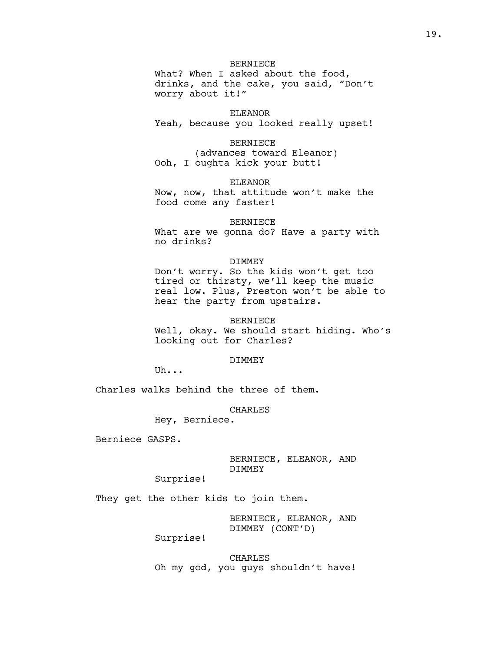# BERNIECE

What? When I asked about the food, drinks, and the cake, you said, "Don't worry about it!"

# ELEANOR

Yeah, because you looked really upset!

### BERNIECE

(advances toward Eleanor) Ooh, I oughta kick your butt!

#### ELEANOR

Now, now, that attitude won't make the food come any faster!

### BERNIECE

What are we gonna do? Have a party with no drinks?

### DIMMEY

Don't worry. So the kids won't get too tired or thirsty, we'll keep the music real low. Plus, Preston won't be able to hear the party from upstairs.

#### BERNIECE

Well, okay. We should start hiding. Who's looking out for Charles?

#### DIMMEY

Uh...

Charles walks behind the three of them.

### CHARLES

Hey, Berniece.

Berniece GASPS.

BERNIECE, ELEANOR, AND DIMMEY

Surprise!

They get the other kids to join them.

BERNIECE, ELEANOR, AND DIMMEY (CONT'D)

Surprise!

CHARLES Oh my god, you guys shouldn't have!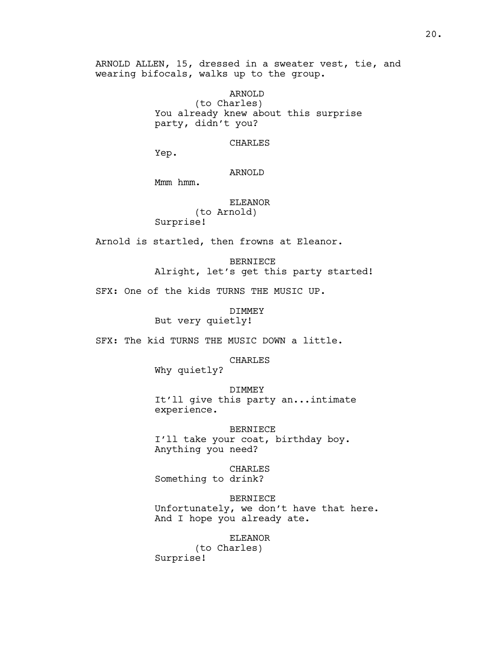ARNOLD ALLEN, 15, dressed in a sweater vest, tie, and wearing bifocals, walks up to the group.

> ARNOLD (to Charles) You already knew about this surprise party, didn't you?

#### CHARLES

Yep.

# ARNOLD

Mmm hmm.

# ELEANOR (to Arnold) Surprise!

Arnold is startled, then frowns at Eleanor.

BERNIECE Alright, let's get this party started!

SFX: One of the kids TURNS THE MUSIC UP.

DIMMEY

But very quietly!

SFX: The kid TURNS THE MUSIC DOWN a little.

CHARLES

Why quietly?

DIMMEY

It'll give this party an...intimate experience.

BERNIECE I'll take your coat, birthday boy. Anything you need?

CHARLES Something to drink?

BERNIECE Unfortunately, we don't have that here. And I hope you already ate.

ELEANOR (to Charles) Surprise!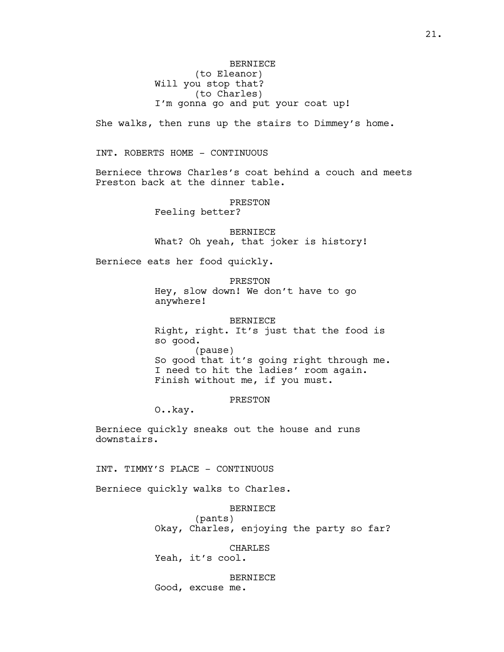# BERNIECE (to Eleanor) Will you stop that? (to Charles) I'm gonna go and put your coat up!

She walks, then runs up the stairs to Dimmey's home.

INT. ROBERTS HOME - CONTINUOUS

Berniece throws Charles's coat behind a couch and meets Preston back at the dinner table.

PRESTON

Feeling better?

BERNIECE What? Oh yeah, that joker is history!

Berniece eats her food quickly.

PRESTON Hey, slow down! We don't have to go anywhere!

BERNIECE Right, right. It's just that the food is so good. (pause) So good that it's going right through me. I need to hit the ladies' room again. Finish without me, if you must.

PRESTON

O..kay.

Berniece quickly sneaks out the house and runs downstairs.

INT. TIMMY'S PLACE - CONTINUOUS

Berniece quickly walks to Charles.

BERNIECE

(pants) Okay, Charles, enjoying the party so far?

CHARLES

Yeah, it's cool.

BERNIECE Good, excuse me.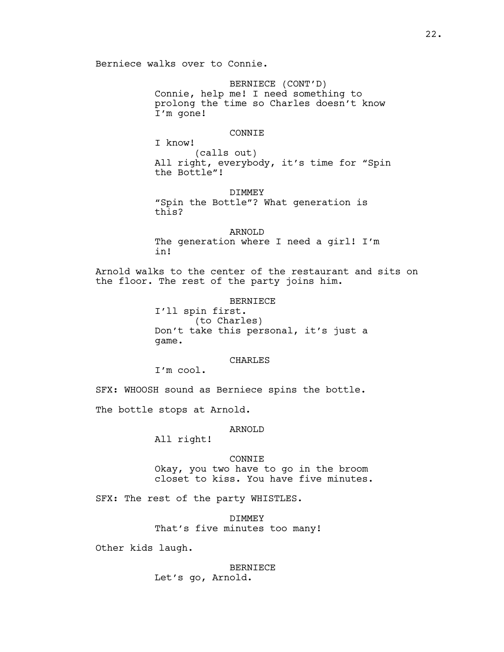Berniece walks over to Connie.

BERNIECE (CONT'D) Connie, help me! I need something to prolong the time so Charles doesn't know I'm gone!

### CONNIE

I know! (calls out) All right, everybody, it's time for "Spin the Bottle"!

DIMMEY "Spin the Bottle"? What generation is this?

ARNOLD The generation where I need a girl! I'm in!

Arnold walks to the center of the restaurant and sits on the floor. The rest of the party joins him.

BERNIECE

I'll spin first. (to Charles) Don't take this personal, it's just a game.

## CHARLES

I'm cool.

SFX: WHOOSH sound as Berniece spins the bottle.

The bottle stops at Arnold.

### ARNOLD

All right!

#### CONNIE

Okay, you two have to go in the broom closet to kiss. You have five minutes.

SFX: The rest of the party WHISTLES.

DIMMEY That's five minutes too many!

Other kids laugh.

# BERNIECE Let's go, Arnold.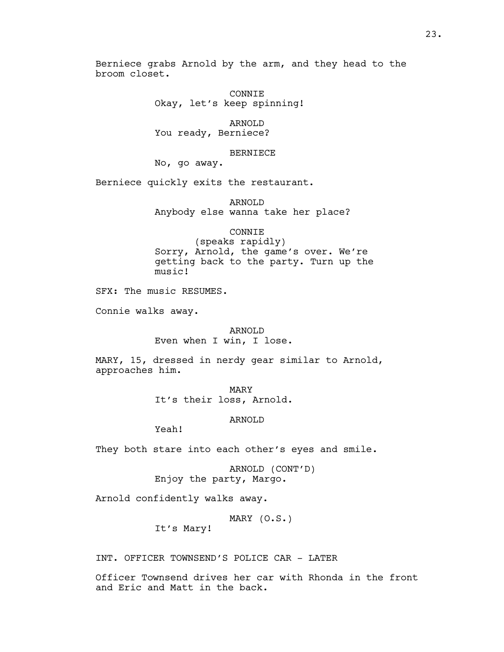Berniece grabs Arnold by the arm, and they head to the broom closet.

> CONNIE Okay, let's keep spinning!

ARNOLD You ready, Berniece?

#### BERNIECE

No, go away.

Berniece quickly exits the restaurant.

ARNOLD Anybody else wanna take her place?

# CONNIE

(speaks rapidly) Sorry, Arnold, the game's over. We're getting back to the party. Turn up the music!

SFX: The music RESUMES.

Connie walks away.

#### ARNOLD

Even when I win, I lose.

MARY, 15, dressed in nerdy gear similar to Arnold, approaches him.

> MARY It's their loss, Arnold.

### ARNOLD

Yeah!

They both stare into each other's eyes and smile.

ARNOLD (CONT'D) Enjoy the party, Margo.

Arnold confidently walks away.

MARY (O.S.)

It's Mary!

INT. OFFICER TOWNSEND'S POLICE CAR - LATER

Officer Townsend drives her car with Rhonda in the front and Eric and Matt in the back.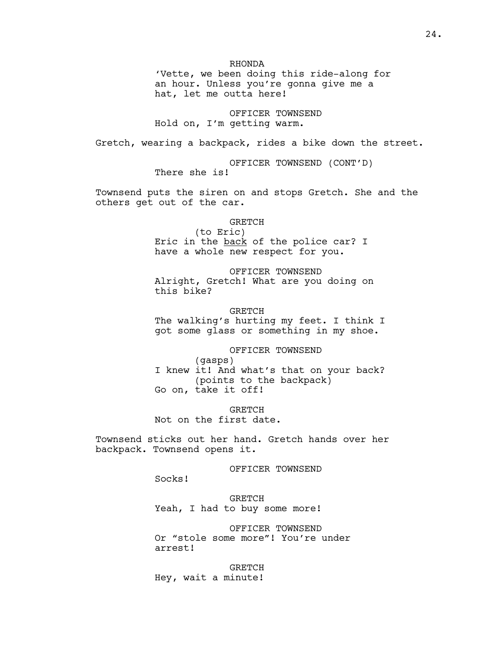RHONDA

'Vette, we been doing this ride-along for an hour. Unless you're gonna give me a hat, let me outta here!

OFFICER TOWNSEND Hold on, I'm getting warm.

Gretch, wearing a backpack, rides a bike down the street.

OFFICER TOWNSEND (CONT'D) There she is!

Townsend puts the siren on and stops Gretch. She and the others get out of the car.

GRETCH

(to Eric) Eric in the back of the police car? I have a whole new respect for you.

OFFICER TOWNSEND Alright, Gretch! What are you doing on this bike?

GRETCH The walking's hurting my feet. I think I got some glass or something in my shoe.

## OFFICER TOWNSEND

(gasps) I knew it! And what's that on your back? (points to the backpack) Go on, take it off!

**GRETCH** Not on the first date.

Townsend sticks out her hand. Gretch hands over her backpack. Townsend opens it.

OFFICER TOWNSEND

Socks!

GRETCH Yeah, I had to buy some more!

OFFICER TOWNSEND Or "stole some more"! You're under arrest!

**GRETCH** Hey, wait a minute!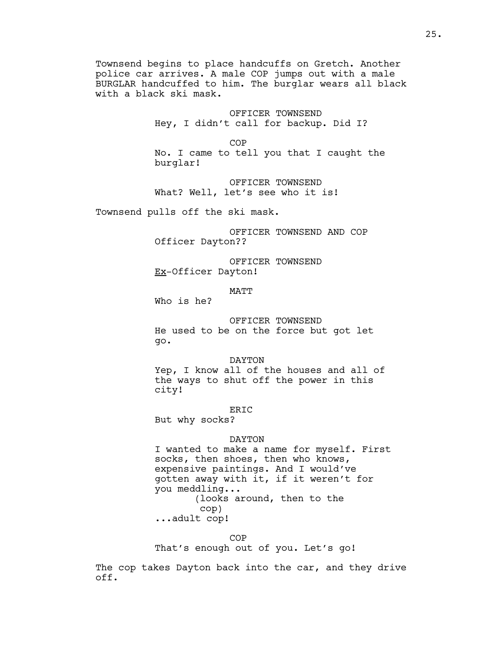Townsend begins to place handcuffs on Gretch. Another police car arrives. A male COP jumps out with a male BURGLAR handcuffed to him. The burglar wears all black with a black ski mask.

> OFFICER TOWNSEND Hey, I didn't call for backup. Did I?

> > **COP**

No. I came to tell you that I caught the burglar!

OFFICER TOWNSEND What? Well, let's see who it is!

Townsend pulls off the ski mask.

OFFICER TOWNSEND AND COP Officer Dayton??

OFFICER TOWNSEND Ex-Officer Dayton!

MATT

Who is he?

OFFICER TOWNSEND He used to be on the force but got let go.

DAYTON Yep, I know all of the houses and all of the ways to shut off the power in this city!

ERIC

But why socks?

### DAYTON

I wanted to make a name for myself. First socks, then shoes, then who knows, expensive paintings. And I would've gotten away with it, if it weren't for you meddling... (looks around, then to the cop)

...adult cop!

 $COP$ That's enough out of you. Let's go!

The cop takes Dayton back into the car, and they drive off.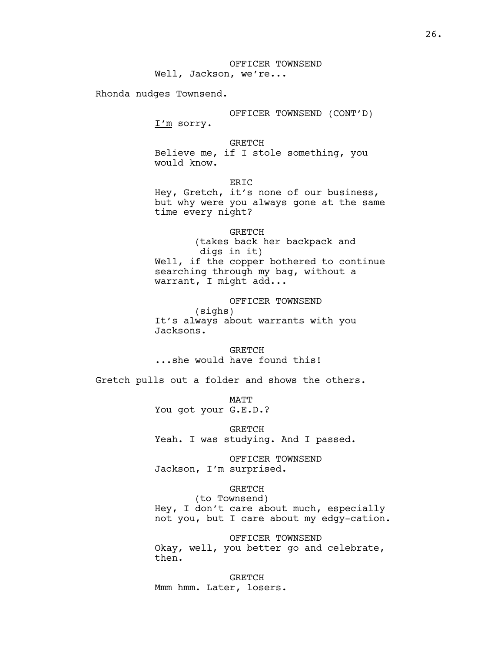Rhonda nudges Townsend.

OFFICER TOWNSEND (CONT'D) I'm sorry.

GRETCH Believe me, if I stole something, you would know.

ERIC Hey, Gretch, it's none of our business, but why were you always gone at the same time every night?

GRETCH (takes back her backpack and digs in it) Well, if the copper bothered to continue searching through my bag, without a warrant, I might add...

OFFICER TOWNSEND (sighs) It's always about warrants with you Jacksons.

GRETCH ...she would have found this!

Gretch pulls out a folder and shows the others.

MATT You got your G.E.D.?

GRETCH Yeah. I was studying. And I passed.

OFFICER TOWNSEND Jackson, I'm surprised.

# GRETCH

(to Townsend) Hey, I don't care about much, especially not you, but I care about my edgy-cation.

OFFICER TOWNSEND Okay, well, you better go and celebrate, then.

GRETCH Mmm hmm. Later, losers.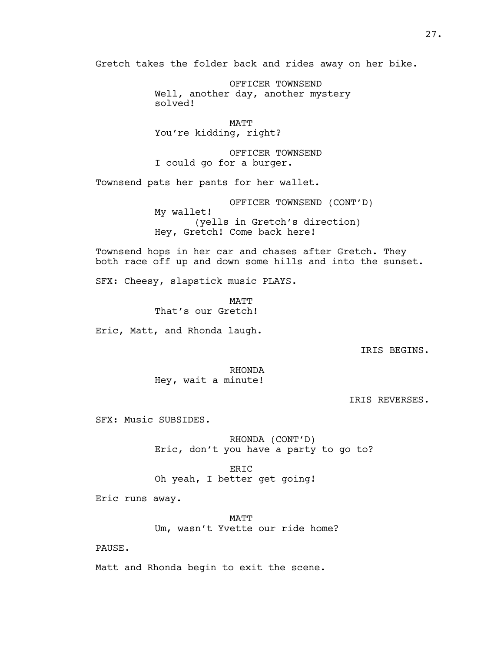Gretch takes the folder back and rides away on her bike.

OFFICER TOWNSEND Well, another day, another mystery solved!

MATT You're kidding, right?

OFFICER TOWNSEND I could go for a burger.

Townsend pats her pants for her wallet.

OFFICER TOWNSEND (CONT'D) My wallet! (yells in Gretch's direction) Hey, Gretch! Come back here!

Townsend hops in her car and chases after Gretch. They both race off up and down some hills and into the sunset.

SFX: Cheesy, slapstick music PLAYS.

MATT That's our Gretch!

Eric, Matt, and Rhonda laugh.

IRIS BEGINS.

RHONDA Hey, wait a minute!

IRIS REVERSES.

SFX: Music SUBSIDES.

RHONDA (CONT'D) Eric, don't you have a party to go to?

ERIC Oh yeah, I better get going!

Eric runs away.

MATT Um, wasn't Yvette our ride home?

PAUSE.

Matt and Rhonda begin to exit the scene.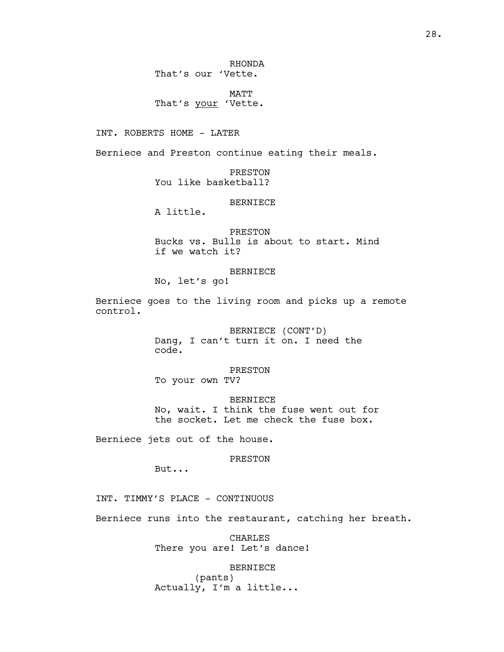MATT That's your 'Vette.

INT. ROBERTS HOME - LATER

Berniece and Preston continue eating their meals.

PRESTON You like basketball?

## BERNIECE

A little.

PRESTON Bucks vs. Bulls is about to start. Mind if we watch it?

BERNIECE

No, let's go!

Berniece goes to the living room and picks up a remote control.

> BERNIECE (CONT'D) Dang, I can't turn it on. I need the code.

PRESTON To your own TV?

BERNIECE No, wait. I think the fuse went out for the socket. Let me check the fuse box.

Berniece jets out of the house.

PRESTON

But...

INT. TIMMY'S PLACE - CONTINUOUS

Berniece runs into the restaurant, catching her breath.

CHARLES There you are! Let's dance!

BERNIECE

(pants) Actually, I'm a little...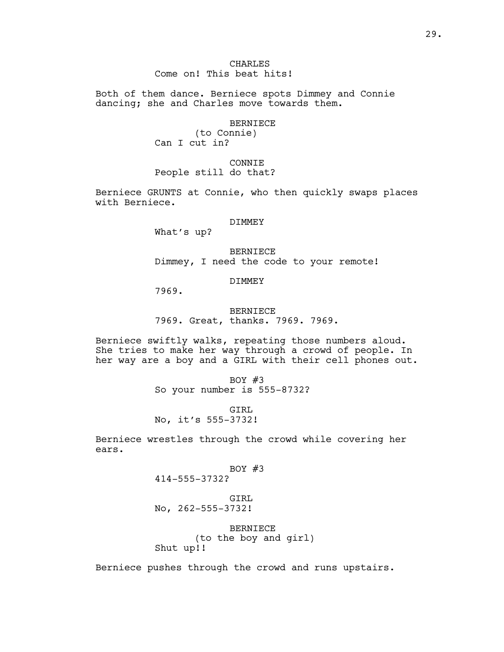# CHARLES Come on! This beat hits!

Both of them dance. Berniece spots Dimmey and Connie dancing; she and Charles move towards them.

### BERNIECE

(to Connie) Can I cut in?

CONNIE People still do that?

Berniece GRUNTS at Connie, who then quickly swaps places with Berniece.

#### DIMMEY

What's up?

BERNIECE Dimmey, I need the code to your remote!

# DIMMEY

7969.

BERNIECE 7969. Great, thanks. 7969. 7969.

Berniece swiftly walks, repeating those numbers aloud. She tries to make her way through a crowd of people. In her way are a boy and a GIRL with their cell phones out.

> BOY  $#3$ So your number is 555-8732?

GTRL No, it's 555-3732!

Berniece wrestles through the crowd while covering her ears.

# BOY #3

414-555-3732?

GIRL No, 262-555-3732!

BERNIECE (to the boy and girl) Shut up!!

Berniece pushes through the crowd and runs upstairs.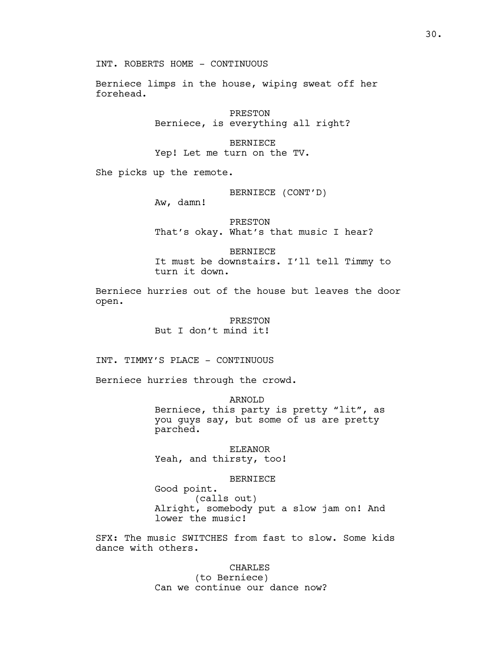INT. ROBERTS HOME - CONTINUOUS

Berniece limps in the house, wiping sweat off her forehead.

> PRESTON Berniece, is everything all right?

#### BERNIECE

Yep! Let me turn on the TV.

She picks up the remote.

### BERNIECE (CONT'D)

Aw, damn!

PRESTON That's okay. What's that music I hear?

BERNIECE It must be downstairs. I'll tell Timmy to turn it down.

Berniece hurries out of the house but leaves the door open.

> PRESTON But I don't mind it!

INT. TIMMY'S PLACE - CONTINUOUS

Berniece hurries through the crowd.

ARNOLD Berniece, this party is pretty "lit", as you guys say, but some of us are pretty parched.

ELEANOR Yeah, and thirsty, too!

### BERNIECE

Good point. (calls out) Alright, somebody put a slow jam on! And lower the music!

SFX: The music SWITCHES from fast to slow. Some kids dance with others.

#### CHARLES

(to Berniece) Can we continue our dance now?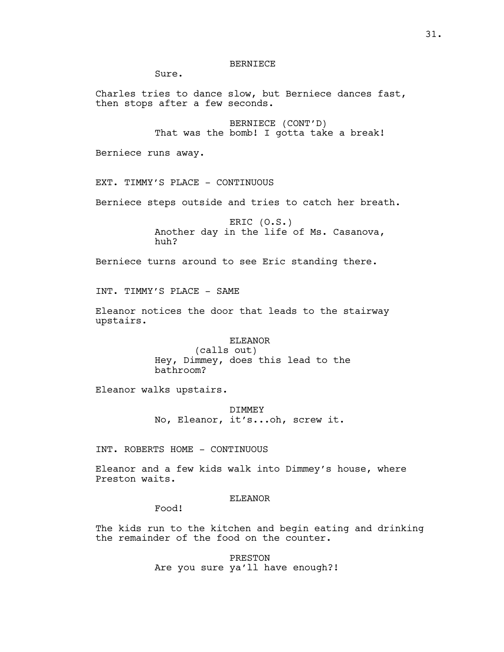# BERNIECE

Sure.

Charles tries to dance slow, but Berniece dances fast, then stops after a few seconds.

> BERNIECE (CONT'D) That was the bomb! I gotta take a break!

Berniece runs away.

EXT. TIMMY'S PLACE - CONTINUOUS

Berniece steps outside and tries to catch her breath.

ERIC (O.S.) Another day in the life of Ms. Casanova, huh?

Berniece turns around to see Eric standing there.

INT. TIMMY'S PLACE - SAME

Eleanor notices the door that leads to the stairway upstairs.

## ELEANOR

(calls out) Hey, Dimmey, does this lead to the bathroom?

Eleanor walks upstairs.

DIMMEY No, Eleanor, it's...oh, screw it.

INT. ROBERTS HOME - CONTINUOUS

Eleanor and a few kids walk into Dimmey's house, where Preston waits.

# ELEANOR

Food!

The kids run to the kitchen and begin eating and drinking the remainder of the food on the counter.

> PRESTON Are you sure ya'll have enough?!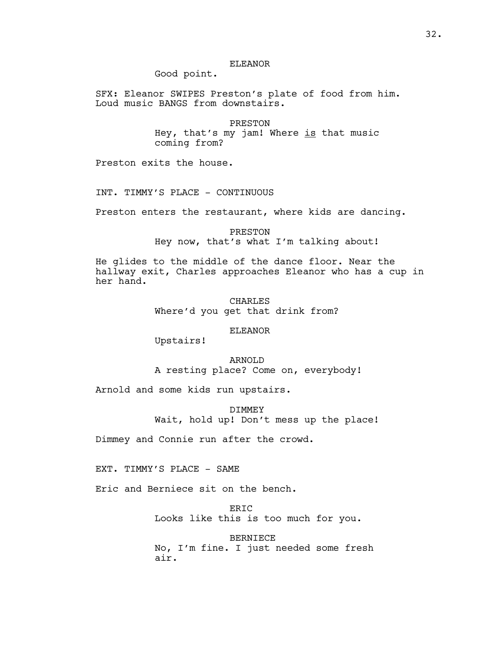# ELEANOR

Good point.

SFX: Eleanor SWIPES Preston's plate of food from him. Loud music BANGS from downstairs.

> PRESTON Hey, that's my jam! Where  $is$  that music coming from?

Preston exits the house.

INT. TIMMY'S PLACE - CONTINUOUS

Preston enters the restaurant, where kids are dancing.

PRESTON Hey now, that's what I'm talking about!

He glides to the middle of the dance floor. Near the hallway exit, Charles approaches Eleanor who has a cup in her hand.

> CHARLES Where'd you get that drink from?

## ELEANOR

Upstairs!

# ARNOLD

A resting place? Come on, everybody!

Arnold and some kids run upstairs.

DIMMEY

Wait, hold up! Don't mess up the place!

Dimmey and Connie run after the crowd.

EXT. TIMMY'S PLACE - SAME

Eric and Berniece sit on the bench.

ERIC

Looks like this is too much for you.

BERNIECE No, I'm fine. I just needed some fresh air.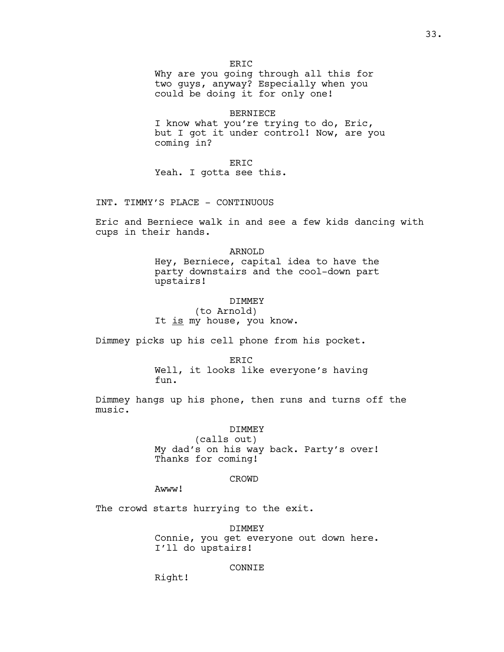Why are you going through all this for two guys, anyway? Especially when you could be doing it for only one!

#### BERNIECE

I know what you're trying to do, Eric, but I got it under control! Now, are you coming in?

ERIC Yeah. I gotta see this.

INT. TIMMY'S PLACE - CONTINUOUS

Eric and Berniece walk in and see a few kids dancing with cups in their hands.

> ARNOLD Hey, Berniece, capital idea to have the party downstairs and the cool-down part upstairs!

# DIMMEY

(to Arnold) It is my house, you know.

Dimmey picks up his cell phone from his pocket.

#### ERIC

Well, it looks like everyone's having fun.

Dimmey hangs up his phone, then runs and turns off the music.

### DIMMEY

(calls out) My dad's on his way back. Party's over! Thanks for coming!

# CROWD

Awww!

The crowd starts hurrying to the exit.

DIMMEY Connie, you get everyone out down here. I'll do upstairs!

### CONNIE

Right!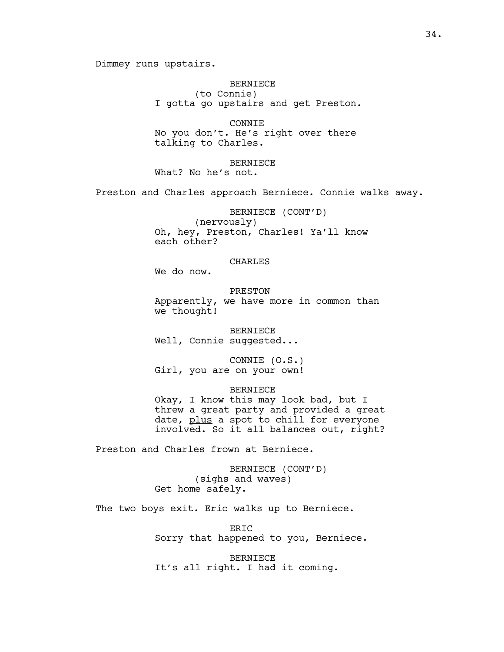Dimmey runs upstairs.

BERNIECE (to Connie) I gotta go upstairs and get Preston.

CONNIE No you don't. He's right over there talking to Charles.

BERNIECE What? No he's not.

Preston and Charles approach Berniece. Connie walks away.

BERNIECE (CONT'D) (nervously) Oh, hey, Preston, Charles! Ya'll know each other?

## CHARLES

We do now.

PRESTON Apparently, we have more in common than we thought!

BERNIECE Well, Connie suggested...

CONNIE (O.S.) Girl, you are on your own!

BERNIECE

Okay, I know this may look bad, but I threw a great party and provided a great date, plus a spot to chill for everyone involved. So it all balances out, right?

Preston and Charles frown at Berniece.

BERNIECE (CONT'D) (sighs and waves) Get home safely.

The two boys exit. Eric walks up to Berniece.

ERIC Sorry that happened to you, Berniece.

BERNIECE It's all right. I had it coming.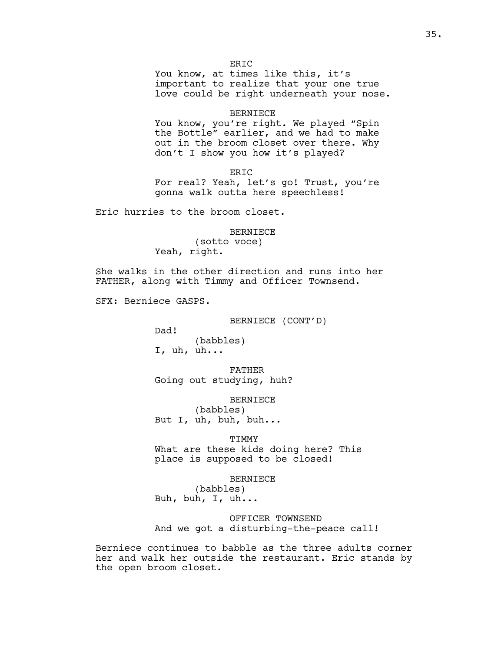You know, at times like this, it's important to realize that your one true love could be right underneath your nose.

#### BERNIECE

You know, you're right. We played "Spin the Bottle" earlier, and we had to make out in the broom closet over there. Why don't I show you how it's played?

ERIC For real? Yeah, let's go! Trust, you're gonna walk outta here speechless!

Eric hurries to the broom closet.

# BERNIECE (sotto voce) Yeah, right.

She walks in the other direction and runs into her FATHER, along with Timmy and Officer Townsend.

SFX: Berniece GASPS.

BERNIECE (CONT'D)

Dad! (babbles) I, uh, uh...

FATHER Going out studying, huh?

BERNIECE

(babbles) But I, uh, buh, buh...

TIMMY

What are these kids doing here? This place is supposed to be closed!

BERNIECE

(babbles) Buh, buh, I, uh...

OFFICER TOWNSEND And we got a disturbing-the-peace call!

Berniece continues to babble as the three adults corner her and walk her outside the restaurant. Eric stands by the open broom closet.